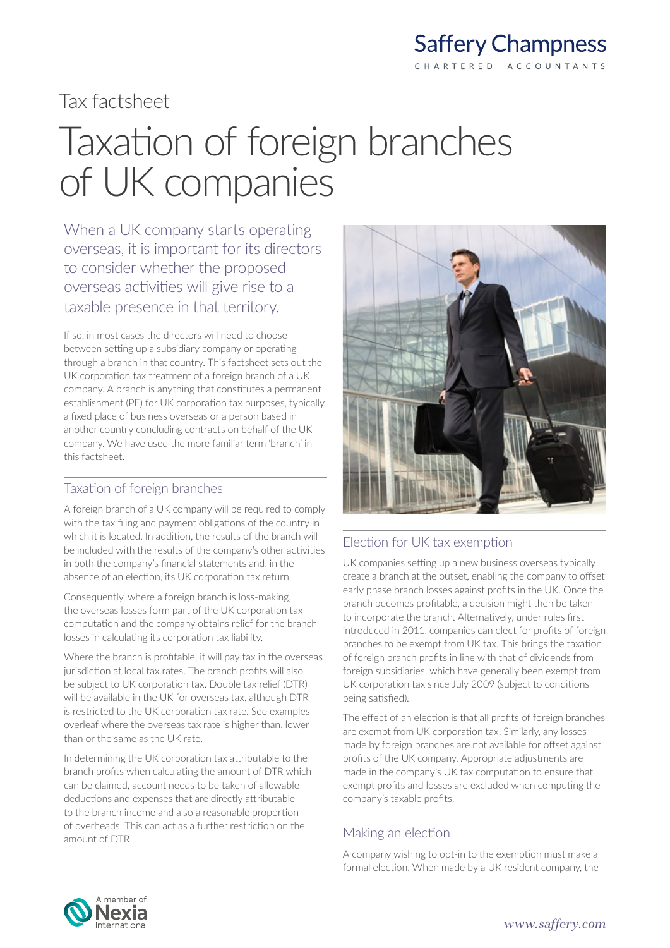### **Saffery Champness** CHARTERED ACCOUNTANTS

### Tax factsheet

# Taxation of foreign branches of UK companies

When a UK company starts operating overseas, it is important for its directors to consider whether the proposed overseas activities will give rise to a taxable presence in that territory.

If so, in most cases the directors will need to choose between setting up a subsidiary company or operating through a branch in that country. This factsheet sets out the UK corporation tax treatment of a foreign branch of a UK company. A branch is anything that constitutes a permanent establishment (PE) for UK corporation tax purposes, typically a fixed place of business overseas or a person based in another country concluding contracts on behalf of the UK company. We have used the more familiar term 'branch' in this factsheet.

### Taxation of foreign branches

A foreign branch of a UK company will be required to comply with the tax filing and payment obligations of the country in which it is located. In addition, the results of the branch will be included with the results of the company's other activities in both the company's financial statements and, in the absence of an election, its UK corporation tax return.

Consequently, where a foreign branch is loss-making, the overseas losses form part of the UK corporation tax computation and the company obtains relief for the branch losses in calculating its corporation tax liability.

Where the branch is profitable, it will pay tax in the overseas jurisdiction at local tax rates. The branch profits will also be subject to UK corporation tax. Double tax relief (DTR) will be available in the UK for overseas tax, although DTR is restricted to the UK corporation tax rate. See examples overleaf where the overseas tax rate is higher than, lower than or the same as the UK rate.

In determining the UK corporation tax attributable to the branch profits when calculating the amount of DTR which can be claimed, account needs to be taken of allowable deductions and expenses that are directly attributable to the branch income and also a reasonable proportion of overheads. This can act as a further restriction on the amount of DTR.



### Election for UK tax exemption

UK companies setting up a new business overseas typically create a branch at the outset, enabling the company to offset early phase branch losses against profits in the UK. Once the branch becomes profitable, a decision might then be taken to incorporate the branch. Alternatively, under rules first introduced in 2011, companies can elect for profits of foreign branches to be exempt from UK tax. This brings the taxation of foreign branch profits in line with that of dividends from foreign subsidiaries, which have generally been exempt from UK corporation tax since July 2009 (subject to conditions being satisfied).

The effect of an election is that all profits of foreign branches are exempt from UK corporation tax. Similarly, any losses made by foreign branches are not available for offset against profits of the UK company. Appropriate adjustments are made in the company's UK tax computation to ensure that exempt profits and losses are excluded when computing the company's taxable profits.

### Making an election

A company wishing to opt-in to the exemption must make a formal election. When made by a UK resident company, the